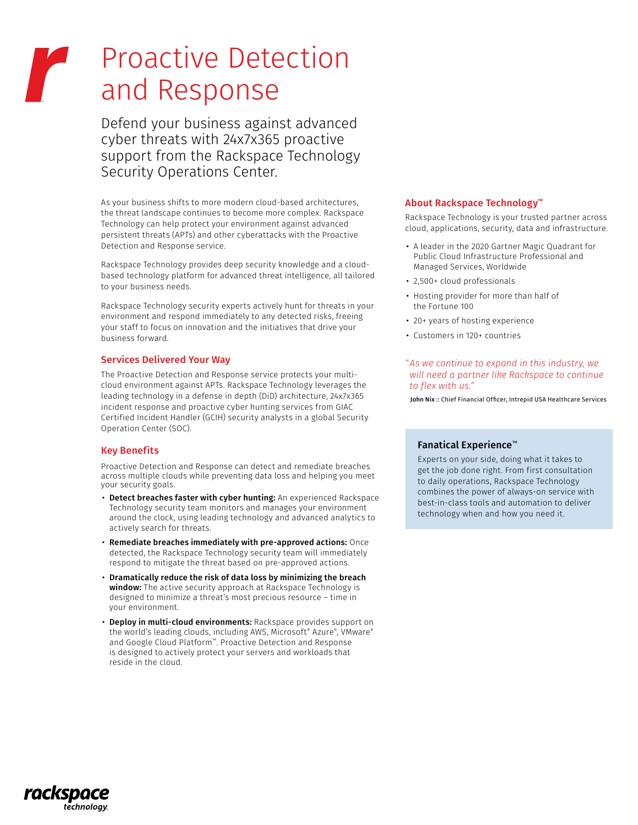# Proactive Detection and Response

Defend your business against advanced cyber threats with 24x7x365 proactive support from the Rackspace Technology Security Operations Center.

As your business shifts to more modern cloud-based architectures, the threat landscape continues to become more complex. Rackspace Technology can help protect your environment against advanced persistent threats (APTs) and other cyberattacks with the Proactive Detection and Response service.

Rackspace Technology provides deep security knowledge and a cloudbased technology platform for advanced threat intelligence, all tailored to your business needs.

Rackspace Technology security experts actively hunt for threats in your environment and respond immediately to any detected risks, freeing your staff to focus on innovation and the initiatives that drive your business forward.

# Services Delivered Your Way

The Proactive Detection and Response service protects your multicloud environment against APTs. Rackspace Technology leverages the leading technology in a defense in depth (DiD) architecture, 24x7x365 incident response and proactive cyber hunting services from GIAC Certified Incident Handler (GCIH) security analysts in a global Security Operation Center (SOC).

# Key Benefits

Proactive Detection and Response can detect and remediate breaches across multiple clouds while preventing data loss and helping you meet your security goals.

- Detect breaches faster with cyber hunting: An experienced Rackspace Technology security team monitors and manages your environment around the clock, using leading technology and advanced analytics to actively search for threats.
- Remediate breaches immediately with pre-approved actions: Once detected, the Rackspace Technology security team will immediately respond to mitigate the threat based on pre-approved actions.
- Dramatically reduce the risk of data loss by minimizing the breach **window:** The active security approach at Rackspace Technology is designed to minimize a threat's most precious resource – time in your environment.
- Deploy in multi-cloud environments: Rackspace provides support on the world's leading clouds, including AWS, Microsoft® Azure®, VMware® and Google Cloud Platform™. Proactive Detection and Response is designed to actively protect your servers and workloads that reside in the cloud.

#### About Rackspace Technology™

Rackspace Technology is your trusted partner across cloud, applications, security, data and infrastructure.

- A leader in the 2020 Gartner Magic Quadrant for Public Cloud Infrastructure Professional and Managed Services, Worldwide
- 2,500+ cloud professionals
- Hosting provider for more than half of the Fortune 100
- 20+ years of hosting experience
- Customers in 120+ countries

#### *"As we continue to expand in this industry, we will need a partner like Rackspace to continue to flex with us."*

John Nix :: Chief Financial Officer, Intrepid USA Healthcare Services

# Fanatical Experience™

Experts on your side, doing what it takes to get the job done right. From first consultation to daily operations, Rackspace Technology combines the power of always-on service with best-in-class tools and automation to deliver technology when and how you need it.